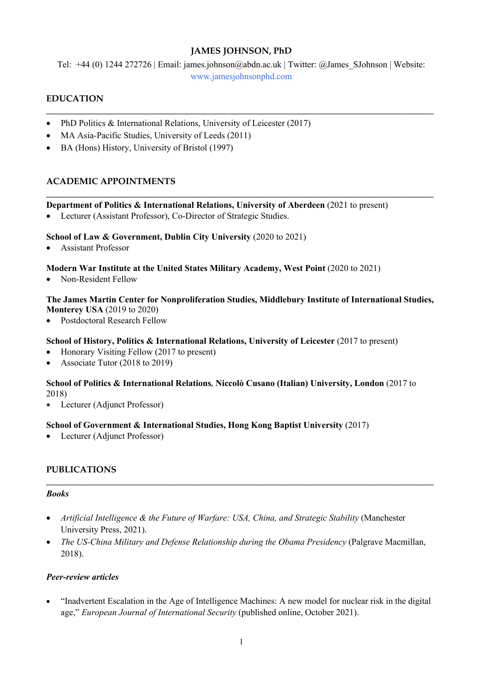## **JAMES JOHNSON, PhD**

Tel: +44 (0) 1244 272726 | Email: james.johnson@abdn.ac.uk | Twitter: @James\_SJohnson | Website: www.jamesjohnsonphd.com

**\_\_\_\_\_\_\_\_\_\_\_\_\_\_\_\_\_\_\_\_\_\_\_\_\_\_\_\_\_\_\_\_\_\_\_\_\_\_\_\_\_\_\_\_\_\_\_\_\_\_\_\_\_\_\_\_\_\_\_\_\_\_\_\_\_\_\_\_\_\_\_\_\_\_\_\_\_\_\_\_\_\_\_\_\_\_\_**

**\_\_\_\_\_\_\_\_\_\_\_\_\_\_\_\_\_\_\_\_\_\_\_\_\_\_\_\_\_\_\_\_\_\_\_\_\_\_\_\_\_\_\_\_\_\_\_\_\_\_\_\_\_\_\_\_\_\_\_\_\_\_\_\_\_\_\_\_\_\_\_\_\_\_\_\_\_\_\_\_\_\_\_\_\_\_\_**

# **EDUCATION**

- PhD Politics & International Relations, University of Leicester (2017)
- MA Asia-Pacific Studies, University of Leeds (2011)
- BA (Hons) History, University of Bristol (1997)

## **ACADEMIC APPOINTMENTS**

## **Department of Politics & International Relations, University of Aberdeen** (2021 to present)

Lecturer (Assistant Professor), Co-Director of Strategic Studies.

## **School of Law & Government, Dublin City University** (2020 to 2021)

• Assistant Professor

## **Modern War Institute at the United States Military Academy, West Point** (2020 to 2021)

• Non-Resident Fellow

#### **The James Martin Center for Nonproliferation Studies, Middlebury Institute of International Studies, Monterey USA** (2019 to 2020)

• Postdoctoral Research Fellow

#### **School of History, Politics & International Relations, University of Leicester** (2017 to present)

- Honorary Visiting Fellow (2017 to present)
- Associate Tutor (2018 to 2019)

## **School of Politics & International Relations***,* **Niccolò Cusano (Italian) University, London** (2017 to 2018)

• Lecturer (Adjunct Professor)

## **School of Government & International Studies, Hong Kong Baptist University** (2017)

• Lecturer (Adjunct Professor)

## **PUBLICATIONS**

#### *Books*

- *Artificial Intelligence & the Future of Warfare: USA, China, and Strategic Stability* (Manchester University Press, 2021).
- *The US-China Military and Defense Relationship during the Obama Presidency* (Palgrave Macmillan, 2018).

**\_\_\_\_\_\_\_\_\_\_\_\_\_\_\_\_\_\_\_\_\_\_\_\_\_\_\_\_\_\_\_\_\_\_\_\_\_\_\_\_\_\_\_\_\_\_\_\_\_\_\_\_\_\_\_\_\_\_\_\_\_\_\_\_\_\_\_\_\_\_\_\_\_\_\_\_\_\_\_\_\_\_\_\_\_\_\_**

## *Peer-review articles*

• "Inadvertent Escalation in the Age of Intelligence Machines: A new model for nuclear risk in the digital age," *European Journal of International Security* (published online, October 2021).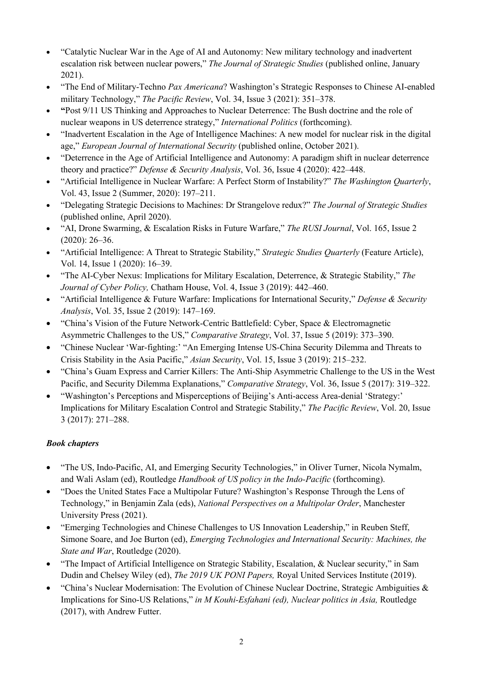- "Catalytic Nuclear War in the Age of AI and Autonomy: New military technology and inadvertent escalation risk between nuclear powers," *The Journal of Strategic Studies* (published online, January 2021).
- "The End of Military-Techno *Pax Americana*? Washington's Strategic Responses to Chinese AI-enabled military Technology," *The Pacific Review*, Vol. 34, Issue 3 (2021): 351–378.
- **"**Post 9/11 US Thinking and Approaches to Nuclear Deterrence: The Bush doctrine and the role of nuclear weapons in US deterrence strategy," *International Politics* (forthcoming).
- "Inadvertent Escalation in the Age of Intelligence Machines: A new model for nuclear risk in the digital age," *European Journal of International Security* (published online, October 2021).
- "Deterrence in the Age of Artificial Intelligence and Autonomy: A paradigm shift in nuclear deterrence theory and practice?" *Defense & Security Analysis*, Vol. 36, Issue 4 (2020): 422–448.
- "Artificial Intelligence in Nuclear Warfare: A Perfect Storm of Instability?" *The Washington Quarterly*, Vol. 43, Issue 2 (Summer, 2020): 197–211.
- "Delegating Strategic Decisions to Machines: Dr Strangelove redux?" *The Journal of Strategic Studies* (published online, April 2020).
- "AI, Drone Swarming, & Escalation Risks in Future Warfare," *The RUSI Journal*, Vol. 165, Issue 2 (2020): 26–36.
- "Artificial Intelligence: A Threat to Strategic Stability," *Strategic Studies Quarterly* (Feature Article), Vol. 14, Issue 1 (2020): 16–39.
- "The AI-Cyber Nexus: Implications for Military Escalation, Deterrence, & Strategic Stability," *The Journal of Cyber Policy,* Chatham House, Vol. 4, Issue 3 (2019): 442–460.
- "Artificial Intelligence & Future Warfare: Implications for International Security," *Defense & Security Analysis*, Vol. 35, Issue 2 (2019): 147–169.
- "China's Vision of the Future Network-Centric Battlefield: Cyber, Space & Electromagnetic Asymmetric Challenges to the US," *Comparative Strategy*, Vol. 37, Issue 5 (2019): 373–390.
- "Chinese Nuclear 'War-fighting:' "An Emerging Intense US-China Security Dilemma and Threats to Crisis Stability in the Asia Pacific," *Asian Security*, Vol. 15, Issue 3 (2019): 215–232.
- "China's Guam Express and Carrier Killers: The Anti-Ship Asymmetric Challenge to the US in the West Pacific, and Security Dilemma Explanations," *Comparative Strategy*, Vol. 36, Issue 5 (2017): 319–322.
- "Washington's Perceptions and Misperceptions of Beijing's Anti-access Area-denial 'Strategy:' Implications for Military Escalation Control and Strategic Stability," *The Pacific Review*, Vol. 20, Issue 3 (2017): 271–288.

# *Book chapters*

- "The US, Indo-Pacific, AI, and Emerging Security Technologies," in Oliver Turner, Nicola Nymalm, and Wali Aslam (ed), Routledge *Handbook of US policy in the Indo-Pacific* (forthcoming).
- "Does the United States Face a Multipolar Future? Washington's Response Through the Lens of Technology," in Benjamin Zala (eds), *National Perspectives on a Multipolar Order*, Manchester University Press (2021).
- "Emerging Technologies and Chinese Challenges to US Innovation Leadership," in Reuben Steff, Simone Soare, and Joe Burton (ed), *Emerging Technologies and International Security: Machines, the State and War*, Routledge (2020).
- "The Impact of Artificial Intelligence on Strategic Stability, Escalation, & Nuclear security," in Sam Dudin and Chelsey Wiley (ed), *The 2019 UK PONI Papers,* Royal United Services Institute (2019).
- "China's Nuclear Modernisation: The Evolution of Chinese Nuclear Doctrine, Strategic Ambiguities & Implications for Sino-US Relations," *in M Kouhi-Esfahani (ed), Nuclear politics in Asia,* Routledge (2017), with Andrew Futter.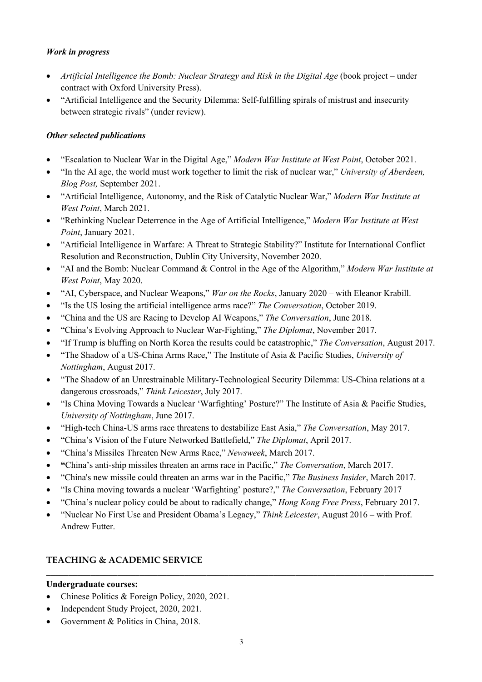## *Work in progress*

- *Artificial Intelligence the Bomb: Nuclear Strategy and Risk in the Digital Age* (book project under contract with Oxford University Press).
- "Artificial Intelligence and the Security Dilemma: Self-fulfilling spirals of mistrust and insecurity between strategic rivals" (under review).

# *Other selected publications*

- "Escalation to Nuclear War in the Digital Age," *Modern War Institute at West Point*, October 2021.
- "In the AI age, the world must work together to limit the risk of nuclear war," *University of Aberdeen, Blog Post,* September 2021.
- "Artificial Intelligence, Autonomy, and the Risk of Catalytic Nuclear War," *Modern War Institute at West Point*, March 2021.
- "Rethinking Nuclear Deterrence in the Age of Artificial Intelligence," *Modern War Institute at West Point*, January 2021.
- "Artificial Intelligence in Warfare: A Threat to Strategic Stability?" Institute for International Conflict Resolution and Reconstruction, Dublin City University, November 2020.
- "AI and the Bomb: Nuclear Command & Control in the Age of the Algorithm," *Modern War Institute at West Point*, May 2020.
- "AI, Cyberspace, and Nuclear Weapons," *War on the Rocks*, January 2020 with Eleanor Krabill.
- "Is the US losing the artificial intelligence arms race?" *The Conversation*, October 2019.
- "China and the US are Racing to Develop AI Weapons," *The Conversation*, June 2018.
- "China's Evolving Approach to Nuclear War-Fighting," *The Diplomat*, November 2017.
- "If Trump is bluffing on North Korea the results could be catastrophic," *The Conversation*, August 2017.
- "The Shadow of a US-China Arms Race," The Institute of Asia & Pacific Studies, *University of Nottingham*, August 2017.
- "The Shadow of an Unrestrainable Military-Technological Security Dilemma: US-China relations at a dangerous crossroads," *Think Leicester*, July 2017.
- "Is China Moving Towards a Nuclear 'Warfighting' Posture?" The Institute of Asia & Pacific Studies, *University of Nottingham*, June 2017.
- "High-tech China-US arms race threatens to destabilize East Asia," *The Conversation*, May 2017.
- "China's Vision of the Future Networked Battlefield," *The Diplomat*, April 2017.
- "China's Missiles Threaten New Arms Race," *Newsweek*, March 2017.
- **"**China's anti-ship missiles threaten an arms race in Pacific," *The Conversation*, March 2017.
- "China's new missile could threaten an arms war in the Pacific," *The Business Insider*, March 2017.
- "Is China moving towards a nuclear 'Warfighting' posture?," *The Conversation*, February 2017
- "China's nuclear policy could be about to radically change," *Hong Kong Free Press*, February 2017.
- "Nuclear No First Use and President Obama's Legacy," *Think Leicester*, August 2016 with Prof. Andrew Futter.

# **TEACHING & ACADEMIC SERVICE**

## **Undergraduate courses:**

- Chinese Politics & Foreign Policy, 2020, 2021.
- Independent Study Project, 2020, 2021.
- Government & Politics in China, 2018.

**\_\_\_\_\_\_\_\_\_\_\_\_\_\_\_\_\_\_\_\_\_\_\_\_\_\_\_\_\_\_\_\_\_\_\_\_\_\_\_\_\_\_\_\_\_\_\_\_\_\_\_\_\_\_\_\_\_\_\_\_\_\_\_\_\_\_\_\_\_\_\_\_\_\_\_\_\_\_\_\_\_\_\_\_\_\_\_**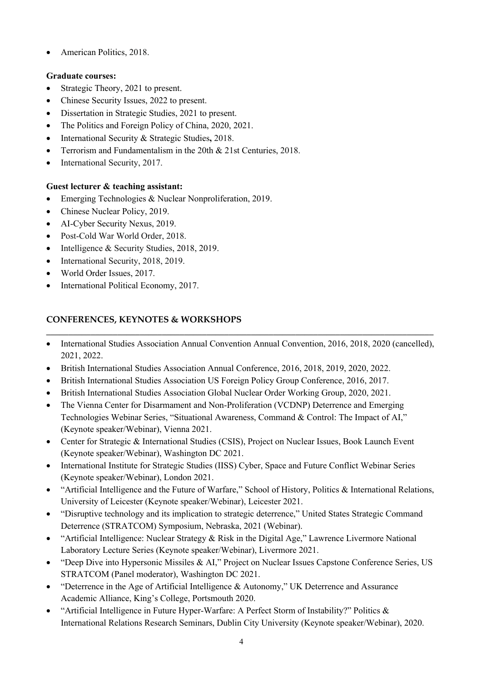• American Politics, 2018.

# **Graduate courses:**

- Strategic Theory, 2021 to present.
- Chinese Security Issues, 2022 to present.
- Dissertation in Strategic Studies, 2021 to present.
- The Politics and Foreign Policy of China, 2020, 2021.
- International Security & Strategic Studies**,** 2018.
- Terrorism and Fundamentalism in the 20th & 21st Centuries, 2018.
- International Security, 2017.

# **Guest lecturer & teaching assistant:**

- Emerging Technologies & Nuclear Nonproliferation, 2019.
- Chinese Nuclear Policy, 2019.
- AI-Cyber Security Nexus, 2019.
- Post-Cold War World Order, 2018.
- Intelligence & Security Studies, 2018, 2019.
- International Security, 2018, 2019.
- World Order Issues, 2017.
- International Political Economy, 2017.

# **CONFERENCES, KEYNOTES & WORKSHOPS**

• International Studies Association Annual Convention Annual Convention, 2016, 2018, 2020 (cancelled), 2021, 2022.

**\_\_\_\_\_\_\_\_\_\_\_\_\_\_\_\_\_\_\_\_\_\_\_\_\_\_\_\_\_\_\_\_\_\_\_\_\_\_\_\_\_\_\_\_\_\_\_\_\_\_\_\_\_\_\_\_\_\_\_\_\_\_\_\_\_\_\_\_\_\_\_\_\_\_\_\_\_\_\_\_\_\_\_\_\_\_\_**

- British International Studies Association Annual Conference, 2016, 2018, 2019, 2020, 2022.
- British International Studies Association US Foreign Policy Group Conference, 2016, 2017.
- British International Studies Association Global Nuclear Order Working Group, 2020, 2021.
- The Vienna Center for Disarmament and Non-Proliferation (VCDNP) Deterrence and Emerging Technologies Webinar Series, "Situational Awareness, Command & Control: The Impact of AI," (Keynote speaker/Webinar), Vienna 2021.
- Center for Strategic & International Studies (CSIS), Project on Nuclear Issues, Book Launch Event (Keynote speaker/Webinar), Washington DC 2021.
- International Institute for Strategic Studies (IISS) Cyber, Space and Future Conflict Webinar Series (Keynote speaker/Webinar), London 2021.
- "Artificial Intelligence and the Future of Warfare," School of History, Politics & International Relations, University of Leicester (Keynote speaker/Webinar), Leicester 2021.
- "Disruptive technology and its implication to strategic deterrence," United States Strategic Command Deterrence (STRATCOM) Symposium, Nebraska, 2021 (Webinar).
- "Artificial Intelligence: Nuclear Strategy & Risk in the Digital Age," Lawrence Livermore National Laboratory Lecture Series (Keynote speaker/Webinar), Livermore 2021.
- "Deep Dive into Hypersonic Missiles & AI," Project on Nuclear Issues Capstone Conference Series, US STRATCOM (Panel moderator), Washington DC 2021.
- "Deterrence in the Age of Artificial Intelligence & Autonomy," UK Deterrence and Assurance Academic Alliance, King's College, Portsmouth 2020.
- "Artificial Intelligence in Future Hyper-Warfare: A Perfect Storm of Instability?" Politics & International Relations Research Seminars, Dublin City University (Keynote speaker/Webinar), 2020.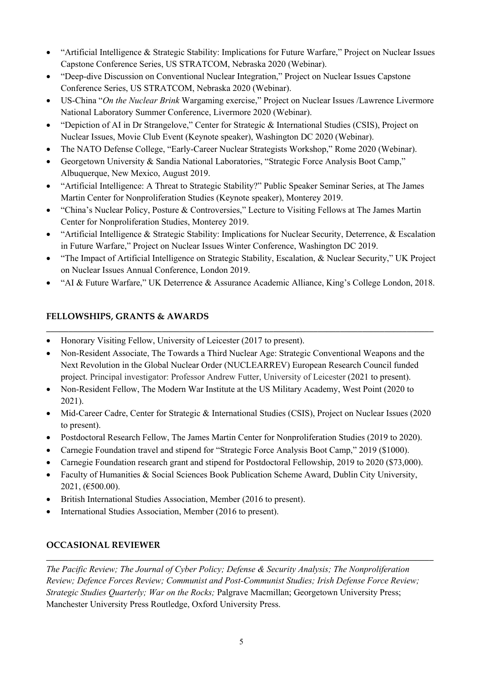- "Artificial Intelligence & Strategic Stability: Implications for Future Warfare," Project on Nuclear Issues Capstone Conference Series, US STRATCOM, Nebraska 2020 (Webinar).
- "Deep-dive Discussion on Conventional Nuclear Integration," Project on Nuclear Issues Capstone Conference Series, US STRATCOM, Nebraska 2020 (Webinar).
- US-China "*On the Nuclear Brink* Wargaming exercise," Project on Nuclear Issues /Lawrence Livermore National Laboratory Summer Conference, Livermore 2020 (Webinar).
- "Depiction of AI in Dr Strangelove," Center for Strategic & International Studies (CSIS), Project on Nuclear Issues, Movie Club Event (Keynote speaker), Washington DC 2020 (Webinar).
- The NATO Defense College, "Early-Career Nuclear Strategists Workshop," Rome 2020 (Webinar).
- Georgetown University & Sandia National Laboratories, "Strategic Force Analysis Boot Camp," Albuquerque, New Mexico, August 2019.
- "Artificial Intelligence: A Threat to Strategic Stability?" Public Speaker Seminar Series, at The James Martin Center for Nonproliferation Studies (Keynote speaker), Monterey 2019.
- "China's Nuclear Policy, Posture & Controversies," Lecture to Visiting Fellows at The James Martin Center for Nonproliferation Studies, Monterey 2019.
- "Artificial Intelligence & Strategic Stability: Implications for Nuclear Security, Deterrence, & Escalation in Future Warfare," Project on Nuclear Issues Winter Conference, Washington DC 2019.
- "The Impact of Artificial Intelligence on Strategic Stability, Escalation, & Nuclear Security," UK Project on Nuclear Issues Annual Conference, London 2019.
- "AI & Future Warfare," UK Deterrence & Assurance Academic Alliance, King's College London, 2018.

## **FELLOWSHIPS, GRANTS & AWARDS**

- Honorary Visiting Fellow, University of Leicester (2017 to present).
- Non-Resident Associate, The Towards a Third Nuclear Age: Strategic Conventional Weapons and the Next Revolution in the Global Nuclear Order (NUCLEARREV) European Research Council funded project. Principal investigator: Professor Andrew Futter, University of Leicester (2021 to present).

**\_\_\_\_\_\_\_\_\_\_\_\_\_\_\_\_\_\_\_\_\_\_\_\_\_\_\_\_\_\_\_\_\_\_\_\_\_\_\_\_\_\_\_\_\_\_\_\_\_\_\_\_\_\_\_\_\_\_\_\_\_\_\_\_\_\_\_\_\_\_\_\_\_\_\_\_\_\_\_\_\_\_\_\_\_\_\_**

- Non-Resident Fellow, The Modern War Institute at the US Military Academy, West Point (2020 to 2021).
- Mid-Career Cadre, Center for Strategic & International Studies (CSIS), Project on Nuclear Issues (2020) to present).
- Postdoctoral Research Fellow, The James Martin Center for Nonproliferation Studies (2019 to 2020).
- Carnegie Foundation travel and stipend for "Strategic Force Analysis Boot Camp," 2019 (\$1000).
- Carnegie Foundation research grant and stipend for Postdoctoral Fellowship, 2019 to 2020 (\$73,000).
- Faculty of Humanities & Social Sciences Book Publication Scheme Award, Dublin City University,  $2021, (\text{£}500.00).$
- British International Studies Association, Member (2016 to present).
- International Studies Association, Member (2016 to present).

## **OCCASIONAL REVIEWER**

*The Pacific Review; The Journal of Cyber Policy; Defense & Security Analysis; The Nonproliferation Review; Defence Forces Review; Communist and Post-Communist Studies; Irish Defense Force Review; Strategic Studies Quarterly; War on the Rocks;* Palgrave Macmillan; Georgetown University Press; Manchester University Press Routledge, Oxford University Press.

**\_\_\_\_\_\_\_\_\_\_\_\_\_\_\_\_\_\_\_\_\_\_\_\_\_\_\_\_\_\_\_\_\_\_\_\_\_\_\_\_\_\_\_\_\_\_\_\_\_\_\_\_\_\_\_\_\_\_\_\_\_\_\_\_\_\_\_\_\_\_\_\_\_\_\_\_\_\_\_\_\_\_\_\_\_\_\_**